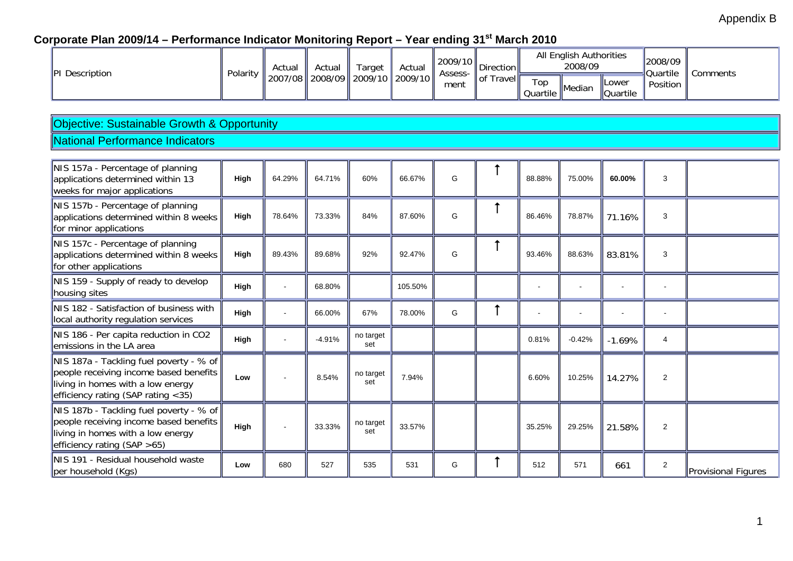## Appendix B

## Corporate Plan 2009/14 - Performance Indicator Monitoring Report - Year ending 31<sup>st</sup> March 2010

|  | <b>PI</b> Description | Polarity | Actual | Actual | Target                        | Actual | 2009/10<br>Assess-                     | Direction       | All English Authorities<br>2008/09 |                          |          | 2008/09<br><b>Quartile</b> | Comments |
|--|-----------------------|----------|--------|--------|-------------------------------|--------|----------------------------------------|-----------------|------------------------------------|--------------------------|----------|----------------------------|----------|
|  |                       | 2007/08  |        |        | 2008/09    2009/10    2009/10 | ment   | $\parallel$ of $\top$<br><b>Travel</b> | Top<br>Quartile | <b>I</b> Median                    | <b>Lower</b><br>Quartile | Position |                            |          |

## Objective: Sustainable Growth & Opportunity

#### National Performance Indicators

| NIS 157a - Percentage of planning<br>applications determined within 13<br>weeks for major applications                                                          | High | 64.29% | 64.71%   | 60%              | 66.67%  | G | 88.88% | 75.00%   | 60.00%   | 3              |                     |
|-----------------------------------------------------------------------------------------------------------------------------------------------------------------|------|--------|----------|------------------|---------|---|--------|----------|----------|----------------|---------------------|
| NIS 157b - Percentage of planning<br>applications determined within 8 weeks<br>for minor applications                                                           | High | 78.64% | 73.33%   | 84%              | 87.60%  | G | 86.46% | 78.87%   | 71.16%   | 3              |                     |
| NIS 157c - Percentage of planning<br>applications determined within 8 weeks<br>for other applications                                                           | High | 89.43% | 89.68%   | 92%              | 92.47%  | G | 93.46% | 88.63%   | 83.81%   | 3              |                     |
| NIS 159 - Supply of ready to develop<br>housing sites                                                                                                           | High |        | 68.80%   |                  | 105.50% |   |        |          |          |                |                     |
| NIS 182 - Satisfaction of business with<br>local authority regulation services                                                                                  | High |        | 66.00%   | 67%              | 78.00%  | G |        |          |          |                |                     |
| NIS 186 - Per capita reduction in CO2<br>emissions in the LA area                                                                                               | High |        | $-4.91%$ | no target<br>set |         |   | 0.81%  | $-0.42%$ | $-1.69%$ | 4              |                     |
| NIS 187a - Tackling fuel poverty - % of<br>people receiving income based benefits<br>living in homes with a low energy<br>efficiency rating (SAP rating $<$ 35) | Low  |        | 8.54%    | no target<br>set | 7.94%   |   | 6.60%  | 10.25%   | 14.27%   | $\overline{2}$ |                     |
| NIS 187b - Tackling fuel poverty - % of<br>people receiving income based benefits<br>living in homes with a low energy<br>efficiency rating $(SAP > 65)$        | High |        | 33.33%   | no target<br>set | 33.57%  |   | 35.25% | 29.25%   | 21.58%   | 2              |                     |
| NIS 191 - Residual household waste<br>per household (Kgs)                                                                                                       | Low  | 680    | 527      | 535              | 531     | G | 512    | 571      | 661      | $\overline{2}$ | Provisional Figures |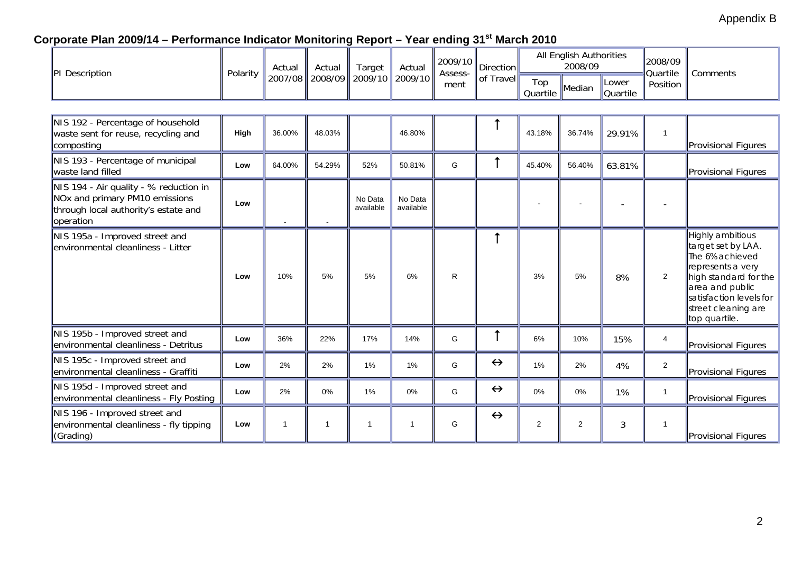## Appendix B

## Corporate Plan 2009/14 - Performance Indicator Monitoring Report - Year ending 31<sup>st</sup> March 2010

| PI Description                                                                                                                            | Polarity | Actual  | Actual  | Target<br>2009/10    | Actual<br>2009/10    | 2009/10<br>Assess-<br>ment | <b>Direction</b><br>of Travel |                 | All English Authorities<br>2008/09 |                          | 2008/09<br>Quartile | Comments                                                                                                                                                                                      |
|-------------------------------------------------------------------------------------------------------------------------------------------|----------|---------|---------|----------------------|----------------------|----------------------------|-------------------------------|-----------------|------------------------------------|--------------------------|---------------------|-----------------------------------------------------------------------------------------------------------------------------------------------------------------------------------------------|
|                                                                                                                                           |          | 2007/08 | 2008/09 |                      |                      |                            |                               | Top<br>Quartile | Median                             | Lower<br><b>Quartile</b> | Position            |                                                                                                                                                                                               |
|                                                                                                                                           |          |         |         |                      |                      |                            |                               |                 |                                    |                          |                     |                                                                                                                                                                                               |
| NIS 192 - Percentage of household<br>waste sent for reuse, recycling and<br>composting                                                    | High     | 36.00%  | 48.03%  |                      | 46.80%               |                            |                               | 43.18%          | 36.74%                             | 29.91%                   | $\overline{1}$      | Provisional Figures                                                                                                                                                                           |
| NIS 193 - Percentage of municipal<br>waste land filled                                                                                    | Low      | 64.00%  | 54.29%  | 52%                  | 50.81%               | G                          |                               | 45.40%          | 56.40%                             | 63.81%                   |                     | Provisional Figures                                                                                                                                                                           |
| NIS 194 - Air quality - % reduction in<br>NO <sub>x</sub> and primary PM10 emissions<br>through local authority's estate and<br>operation | Low      |         |         | No Data<br>available | No Data<br>available |                            |                               |                 |                                    |                          |                     |                                                                                                                                                                                               |
| NIS 195a - Improved street and<br>lenvironmental cleanliness - Litter                                                                     | Low      | 10%     | 5%      | 5%                   | 6%                   | R                          | $\uparrow$                    | 3%              | 5%                                 | 8%                       | $\overline{2}$      | Highly ambitious<br>target set by LAA.<br>The 6% achieved<br>represents a very<br>high standard for the<br>area and public<br>satisfaction levels for<br>street cleaning are<br>top quartile. |
| NIS 195b - Improved street and<br>environmental cleanliness - Detritus                                                                    | Low      | 36%     | 22%     | 17%                  | 14%                  | G                          |                               | 6%              | 10%                                | 15%                      | $\overline{4}$      | Provisional Figures                                                                                                                                                                           |
| NIS 195c - Improved street and<br>environmental cleanliness - Graffiti                                                                    | Low      | 2%      | 2%      | 1%                   | 1%                   | G                          | $\leftrightarrow$             | 1%              | 2%                                 | 4%                       | $\mathbf{2}$        | Provisional Figures                                                                                                                                                                           |
| NIS 195d - Improved street and<br>environmental cleanliness - Fly Posting                                                                 | Low      | 2%      | $0\%$   | 1%                   | $0\%$                | G                          | $\leftrightarrow$             | 0%              | 0%                                 | 1%                       | $\overline{1}$      | Provisional Figures                                                                                                                                                                           |
| NIS 196 - Improved street and<br>environmental cleanliness - fly tipping<br>(Grading)                                                     | Low      | -1      | 1       | $\overline{1}$       | 1                    | G                          | $\leftrightarrow$             | 2               | $\overline{c}$                     | 3                        |                     | Provisional Figures                                                                                                                                                                           |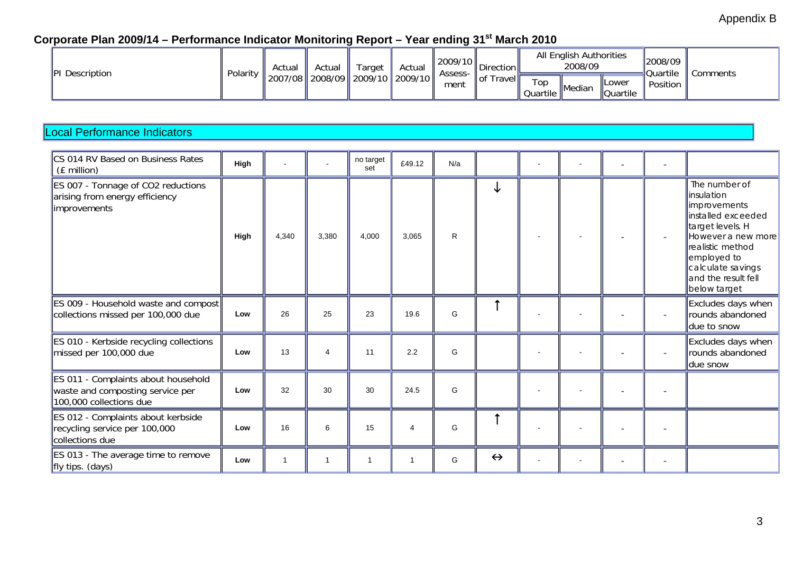## Corporate Plan 2009/14 - Performance Indicator Monitoring Report - Year ending 31<sup>st</sup> March 2010

| <b>PI</b> Description | Polarity | Actual                                   | Actual | Target | Actual | $\ 2009/10\ _{\infty}$<br>Assess- | irection          |                 | All English Authorities<br>2008/09 |                                  | 2008/09<br><b>Ouartile</b> | comments: |
|-----------------------|----------|------------------------------------------|--------|--------|--------|-----------------------------------|-------------------|-----------------|------------------------------------|----------------------------------|----------------------------|-----------|
|                       |          | 2007/08    2008/09    2009/10    2009/10 |        |        |        | ment                              | ∥of ⊺<br>Travelll | Top<br>Quartile | <b>Median</b>                      | <b>ILower</b><br><b>Quartile</b> | Position                   |           |

#### Local Performance Indicators

| CS 014 RV Based on Business Rates<br>(£ million)                                                   | High |                |       | no target<br>set | £49.12   | N/a          |                   |  |  |                                                                                                                                                                                                               |
|----------------------------------------------------------------------------------------------------|------|----------------|-------|------------------|----------|--------------|-------------------|--|--|---------------------------------------------------------------------------------------------------------------------------------------------------------------------------------------------------------------|
| ES 007 - Tonnage of CO2 reductions<br>arising from energy efficiency<br><i>improvements</i>        | High | 4.340          | 3,380 | 4.000            | 3.065    | $\mathsf{R}$ | ↓                 |  |  | The number of<br>linsulation<br>limprovements<br>linstalled exceeded<br>target levels. H<br>However a new more<br>realistic method<br>employed to<br>calculate savings<br>and the result fell<br>below target |
| ES 009 - Household waste and compost<br>collections missed per 100,000 due                         | Low  | 26             | 25    | 23               | 19.6     | G            |                   |  |  | Excludes days when<br>rounds abandoned<br>due to snow                                                                                                                                                         |
| <b>ES 010 - Kerbside recycling collections</b><br>missed per 100,000 due                           | Low  | 13             | 4     | 11               | 2.2      | G            |                   |  |  | Excludes days when<br>rounds abandoned<br>due snow                                                                                                                                                            |
| ES 011 - Complaints about household<br>waste and composting service per<br>100,000 collections due | Low  | 32             | 30    | 30               | 24.5     | G            |                   |  |  |                                                                                                                                                                                                               |
| ES 012 - Complaints about kerbside<br>recycling service per 100,000<br>collections due             | Low  | 16             | 6     | 15               | $\Delta$ | G            |                   |  |  |                                                                                                                                                                                                               |
| ES 013 - The average time to remove<br>$\parallel$ fly tips. (days)                                | Low  | $\overline{1}$ | -1    | 1                |          | G            | $\leftrightarrow$ |  |  |                                                                                                                                                                                                               |